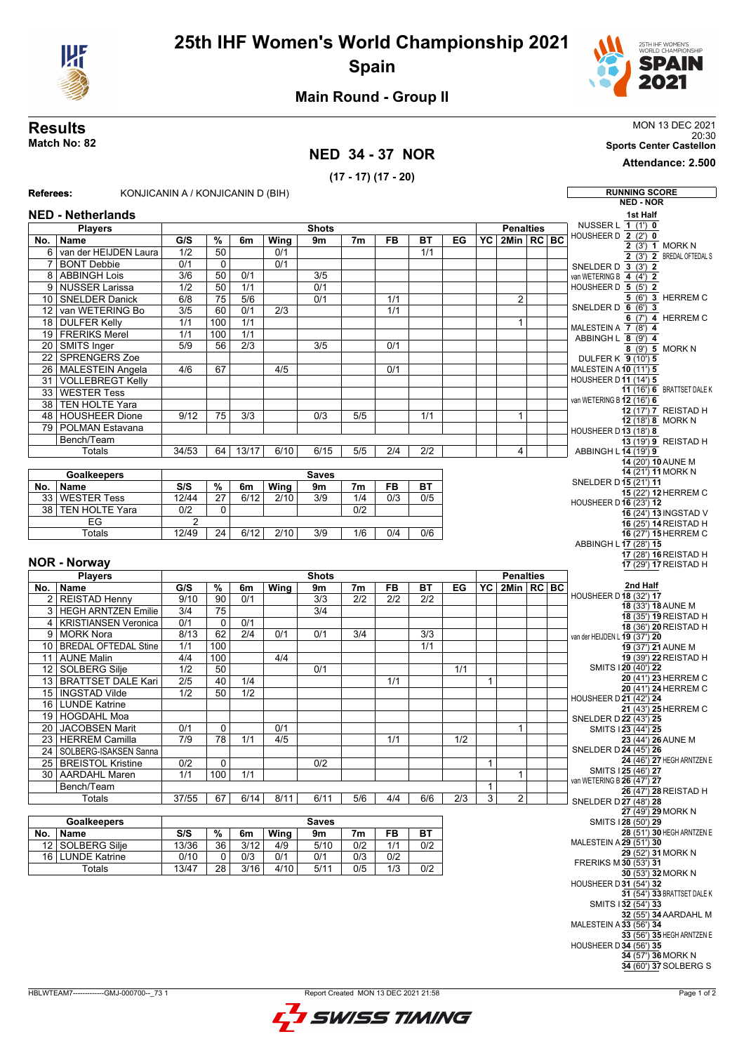

## **25th IHF Women's World Championship 2021 Spain**



### **Main Round - Group II**

### **NED 34 - 37 NOR**

**(17 - 17) (17 - 20)**

**Results** MON 13 DEC 2021 **Results**<br>MON 13 DEC 2021<br>Sports Center Castellon<br>Sports Center Castellon

**Attendance: 2.500**

| Referees:       | KONJICANIN A / KONJICANIN D (BIH) |                  |                 |                  |                  |                  |                  |           |           |                  |                 |                  |                | <b>RUNNING SCORE</b>                                                                                                                                                                           |
|-----------------|-----------------------------------|------------------|-----------------|------------------|------------------|------------------|------------------|-----------|-----------|------------------|-----------------|------------------|----------------|------------------------------------------------------------------------------------------------------------------------------------------------------------------------------------------------|
|                 |                                   |                  |                 |                  |                  |                  |                  |           |           |                  |                 |                  |                | <b>NED - NOR</b>                                                                                                                                                                               |
|                 | <b>NED - Netherlands</b>          |                  |                 |                  |                  |                  |                  |           |           |                  |                 |                  |                | 1st Half                                                                                                                                                                                       |
|                 | <b>Players</b>                    |                  |                 |                  |                  | <b>Shots</b>     |                  |           |           |                  |                 | <b>Penalties</b> |                | NUSSER L 1 (1') 0                                                                                                                                                                              |
| No.             | <b>Name</b>                       | G/S              | %               | 6m               | Wing             | 9m               | 7m               | <b>FB</b> | ВT        | EG               |                 | YC 2Min RC BC    |                | HOUSHEER D 2 (2') 0                                                                                                                                                                            |
|                 | 6 van der HEIJDEN Laura           | 1/2              | 50              |                  | 0/1              |                  |                  |           | 1/1       |                  |                 |                  |                | 2 (3') 1 MORK N                                                                                                                                                                                |
| $\overline{7}$  | <b>BONT Debbie</b>                | 0/1              | $\mathbf 0$     |                  | 0/1              |                  |                  |           |           |                  |                 |                  |                | 2 (3') 2 BREDAL OFTEDAL S                                                                                                                                                                      |
|                 | 8 ABBINGH Lois                    | 3/6              | 50              | 0/1              |                  | 3/5              |                  |           |           |                  |                 |                  |                | SNELDER D 3 (3') 2<br>van WETERING B 4 (4') 2                                                                                                                                                  |
|                 | 9 NUSSER Larissa                  | 1/2              | 50              | 1/1              |                  | 0/1              |                  |           |           |                  |                 |                  |                | HOUSHEER D 5 (5') 2                                                                                                                                                                            |
|                 | 10 SNELDER Danick                 | 6/8              | 75              | 5/6              |                  | 0/1              |                  | 1/1       |           |                  |                 | $\overline{2}$   |                | 5 (6') 3 HERREM C                                                                                                                                                                              |
| 12              | van WETERING Bo                   | $\overline{3/5}$ | 60              | 0/1              | $\overline{2/3}$ |                  |                  | 1/1       |           |                  |                 |                  |                | SNELDER D $6$ (6') 3                                                                                                                                                                           |
|                 |                                   | 1/1              | 100             | 1/1              |                  |                  |                  |           |           |                  |                 |                  |                | 6 (7') 4 HERREM C                                                                                                                                                                              |
|                 | 18 DULFER Kelly                   |                  |                 |                  |                  |                  |                  |           |           |                  |                 | $\mathbf{1}$     |                | MALESTEIN A 7 (8') 4                                                                                                                                                                           |
|                 | 19 FRERIKS Merel                  | 1/1              | 100             | 1/1              |                  |                  |                  |           |           |                  |                 |                  |                | ABBINGH L 8 (9') 4                                                                                                                                                                             |
|                 | 20 SMITS Inger                    | $\overline{5/9}$ | 56              | $\overline{2/3}$ |                  | 3/5              |                  | 0/1       |           |                  |                 |                  |                | 8 (9') 5 MORK N                                                                                                                                                                                |
| 22              | <b>SPRENGERS Zoe</b>              |                  |                 |                  |                  |                  |                  |           |           |                  |                 |                  |                | DULFER K 9 (10') 5                                                                                                                                                                             |
| 26              | MALESTEIN Angela                  | 4/6              | 67              |                  | 4/5              |                  |                  | 0/1       |           |                  |                 |                  |                | MALESTEIN A 10 (11') 5                                                                                                                                                                         |
|                 | 31 VOLLEBREGT Kelly               |                  |                 |                  |                  |                  |                  |           |           |                  |                 |                  |                | HOUSHEER D 11 (14') 5<br>11 (16') 6 BRATTSET DALE K                                                                                                                                            |
| 33              | <b>WESTER Tess</b>                |                  |                 |                  |                  |                  |                  |           |           |                  |                 |                  |                | van WETERING B 12 (16') 6                                                                                                                                                                      |
| 38              | <b>TEN HOLTE Yara</b>             |                  |                 |                  |                  |                  |                  |           |           |                  |                 |                  |                | 12 (17') 7 REISTAD H                                                                                                                                                                           |
| 48              | <b>HOUSHEER Dione</b>             | 9/12             | 75              | 3/3              |                  | 0/3              | 5/5              |           | 1/1       |                  |                 | 1                |                | 12 (18') 8 MORK N                                                                                                                                                                              |
|                 | 79 POLMAN Estavana                |                  |                 |                  |                  |                  |                  |           |           |                  |                 |                  |                | HOUSHEER D 13 (18') 8                                                                                                                                                                          |
|                 | Bench/Team                        |                  |                 |                  |                  |                  |                  |           |           |                  |                 |                  |                | 13 (19') 9 REISTAD H                                                                                                                                                                           |
|                 | Totals                            | 34/53            | 64              | 13/17            | 6/10             | 6/15             | 5/5              | 2/4       | 2/2       |                  |                 | 4                |                | ABBINGH L 14 (19') 9                                                                                                                                                                           |
|                 |                                   |                  |                 |                  |                  |                  |                  |           |           |                  |                 |                  |                | 14 (20') 10 AUNE M                                                                                                                                                                             |
|                 | Goalkeepers                       |                  |                 |                  |                  | <b>Saves</b>     |                  |           |           |                  |                 |                  |                | 14 (21') 11 MORK N                                                                                                                                                                             |
| No.             | Name                              | S/S              | %               | 6m               | Wing             | 9m               | 7 <sub>m</sub>   | <b>FB</b> | <b>BT</b> |                  |                 |                  |                | SNELDER D15 (21') 11                                                                                                                                                                           |
| 33              | <b>WESTER Tess</b>                | 12/44            | 27              | 6/12             | 2/10             | 3/9              | 1/4              | 0/3       | 0/5       |                  |                 |                  |                | 15 (22') 12 HERREM C                                                                                                                                                                           |
|                 | 38 TEN HOLTE Yara                 | $\overline{0/2}$ | $\mathbf 0$     |                  |                  |                  | $\overline{0/2}$ |           |           |                  |                 |                  |                | <b>HOUSHEER D 16 (23') 12</b>                                                                                                                                                                  |
|                 | EG                                | $\overline{2}$   |                 |                  |                  |                  |                  |           |           |                  |                 |                  |                | 16 (24') 13 INGSTAD V<br>16 (25') 14 REISTAD H                                                                                                                                                 |
|                 | <b>Totals</b>                     | 12/49            | $\overline{24}$ | 6/12             | 2/10             | $\overline{3/9}$ | 1/6              | 0/4       | 0/6       |                  |                 |                  |                | 16 (27') 15 HERREM C                                                                                                                                                                           |
|                 |                                   |                  |                 |                  |                  |                  |                  |           |           |                  |                 |                  |                | ABBINGH L 17 (28') 15                                                                                                                                                                          |
|                 |                                   |                  |                 |                  |                  |                  |                  |           |           |                  |                 |                  |                | 17 (28') 16 REISTAD H                                                                                                                                                                          |
|                 | <b>NOR - Norway</b>               |                  |                 |                  |                  |                  |                  |           |           |                  |                 |                  |                | 17 (29') 17 REISTAD H                                                                                                                                                                          |
|                 | <b>Players</b>                    |                  |                 |                  |                  | <b>Shots</b>     |                  |           |           |                  |                 | <b>Penalties</b> |                |                                                                                                                                                                                                |
|                 | No.   Name                        | G/S              | $\%$            | 6m               | <b>Wing</b>      | 9m               | 7 <sub>m</sub>   | FB        | ВT        | EG               | $\overline{Y}C$ |                  | 2Min   RC   BC | 2nd Half                                                                                                                                                                                       |
|                 | 2 REISTAD Henny                   | 9/10             | 90              | 0/1              |                  | $\overline{3/3}$ | 2/2              | 2/2       | 2/2       |                  |                 |                  |                | HOUSHEER D 18 (32') 17                                                                                                                                                                         |
|                 | 3 HEGH ARNTZEN Emilie             | 3/4              | 75              |                  |                  | 3/4              |                  |           |           |                  |                 |                  |                | 18 (33') 18 AUNE M                                                                                                                                                                             |
|                 | 4   KRISTIANSEN Veronica          | 0/1              | $\mathbf 0$     | 0/1              |                  |                  |                  |           |           |                  |                 |                  |                | 18 (35') 19 REISTAD H<br>18 (36') 20 REISTAD H                                                                                                                                                 |
|                 | 9 MORK Nora                       | 8/13             | 62              | $\overline{2/4}$ | 0/1              | 0/1              | 3/4              |           | 3/3       |                  |                 |                  |                |                                                                                                                                                                                                |
|                 | 10 BREDAL OFTEDAL Stine           |                  |                 |                  |                  |                  |                  |           |           |                  |                 |                  |                |                                                                                                                                                                                                |
|                 |                                   |                  |                 |                  |                  |                  |                  |           |           |                  |                 |                  |                | van der HEIJDEN L 19 (37') 20                                                                                                                                                                  |
|                 |                                   | 1/1              | 100             |                  |                  |                  |                  |           | 1/1       |                  |                 |                  |                | 19 (37') 21 AUNE M                                                                                                                                                                             |
| 11              | <b>AUNE Malin</b>                 | 4/4              | 100             |                  | 4/4              |                  |                  |           |           |                  |                 |                  |                | 19 (39') 22 REISTAD H<br>SMITS 120 (40') 22                                                                                                                                                    |
| 12 <sup>°</sup> | SOLBERG Silje                     | 1/2              | 50              |                  |                  | 0/1              |                  |           |           | 1/1              |                 |                  |                | 20 (41') 23 HERREM C                                                                                                                                                                           |
|                 | 13 BRATTSET DALE Kari             | 2/5              | 40              | 1/4              |                  |                  |                  | 1/1       |           |                  | $\mathbf{1}$    |                  |                | 20 (41') 24 HERREM C                                                                                                                                                                           |
| 15              | <b>INGSTAD Vilde</b>              | 1/2              | $\overline{50}$ | 1/2              |                  |                  |                  |           |           |                  |                 |                  |                | HOUSHEER D 21 (42') 24                                                                                                                                                                         |
|                 | 16 LUNDE Katrine                  |                  |                 |                  |                  |                  |                  |           |           |                  |                 |                  |                | 21 (43') 25 HERREM C                                                                                                                                                                           |
|                 | 19 HOGDAHL Moa                    |                  |                 |                  |                  |                  |                  |           |           |                  |                 |                  |                | SNELDER D 22 (43') 25                                                                                                                                                                          |
| 20              | <b>JACOBSEN Marit</b>             | 0/1              | 0               |                  | 0/1              |                  |                  |           |           |                  |                 | $\mathbf{1}$     |                | SMITS 123 (44') 25                                                                                                                                                                             |
|                 | 23 HERREM Camilla                 | $\overline{7/9}$ | $\overline{78}$ | 1/1              | $\overline{4/5}$ |                  |                  | 1/1       |           | $\overline{1/2}$ |                 |                  |                | 23 (44') 26 AUNE M                                                                                                                                                                             |
|                 | 24 SOLBERG-ISAKSEN Sanna          |                  |                 |                  |                  |                  |                  |           |           |                  |                 |                  |                | SNELDER D 24 (45') 26                                                                                                                                                                          |
|                 | 25   BREISTOL Kristine            | 0/2              | $\mathbf 0$     |                  |                  | 0/2              |                  |           |           |                  | $\mathbf{1}$    |                  |                |                                                                                                                                                                                                |
|                 | 30   AARDAHL Maren                | 1/1              | 100             | 1/1              |                  |                  |                  |           |           |                  |                 | 1                |                | SMITS 125 (46') 27                                                                                                                                                                             |
|                 | Bench/Team                        |                  |                 |                  |                  |                  |                  |           |           |                  | $\mathbf{1}$    |                  |                | van WETERING B 26 (47') 27<br>26 (47') 28 REISTAD H                                                                                                                                            |
|                 | Totals                            | 37/55            | 67              | 6/14             | 8/11             | 6/11             | 5/6              | 4/4       | 6/6       | 2/3              | $\overline{3}$  | $\overline{2}$   |                | SNELDER D 27 (48') 28                                                                                                                                                                          |
|                 |                                   |                  |                 |                  |                  |                  |                  |           |           |                  |                 |                  |                | 27 (49') 29 MORK N                                                                                                                                                                             |
|                 | <b>Goalkeepers</b>                |                  |                 |                  |                  | <b>Saves</b>     |                  |           |           |                  |                 |                  |                | SMITS 128 (50') 29                                                                                                                                                                             |
|                 | No.   Name                        | S/S              | $\frac{9}{6}$   | 6m               | Wing             | 9m               | 7m               | <b>FB</b> | <b>BT</b> |                  |                 |                  |                |                                                                                                                                                                                                |
|                 | 12 SOLBERG Silje                  | 13/36            | 36              | 3/12             | 4/9              | 5/10             | 0/2              | 1/1       | 0/2       |                  |                 |                  |                | MALESTEIN A 29 (51') 30                                                                                                                                                                        |
|                 | 16 LUNDE Katrine                  | 0/10             | 0               | 0/3              | 0/1              | 0/1              | 0/3              | 0/2       |           |                  |                 |                  |                | 29 (52') 31 MORK N                                                                                                                                                                             |
|                 | <b>Totals</b>                     | 13/47            | 28              | 3/16             | 4/10             | 5/11             | 0/5              | 1/3       | 0/2       |                  |                 |                  |                | FRERIKS M 30 (53') 31                                                                                                                                                                          |
|                 |                                   |                  |                 |                  |                  |                  |                  |           |           |                  |                 |                  |                | 30 (53') 32 MORK N                                                                                                                                                                             |
|                 |                                   |                  |                 |                  |                  |                  |                  |           |           |                  |                 |                  |                | HOUSHEER D 31 (54') 32                                                                                                                                                                         |
|                 |                                   |                  |                 |                  |                  |                  |                  |           |           |                  |                 |                  |                |                                                                                                                                                                                                |
|                 |                                   |                  |                 |                  |                  |                  |                  |           |           |                  |                 |                  |                | SMITS 132 (54') 33                                                                                                                                                                             |
|                 |                                   |                  |                 |                  |                  |                  |                  |           |           |                  |                 |                  |                | MALESTEIN A 33 (56') 34                                                                                                                                                                        |
|                 |                                   |                  |                 |                  |                  |                  |                  |           |           |                  |                 |                  |                |                                                                                                                                                                                                |
|                 |                                   |                  |                 |                  |                  |                  |                  |           |           |                  |                 |                  |                | 24 (46') 27 HEGH ARNTZEN E<br>28 (51') 30 HEGH ARNTZEN E<br>31 (54') 33 BRATTSET DALE K<br>32 (55') 34 AARDAHL M<br>33 (56') 35 HEGH ARNTZEN E<br>HOUSHEER D 34 (56') 35<br>34 (57') 36 MORK N |

**34** (60') **37**SOLBERG S